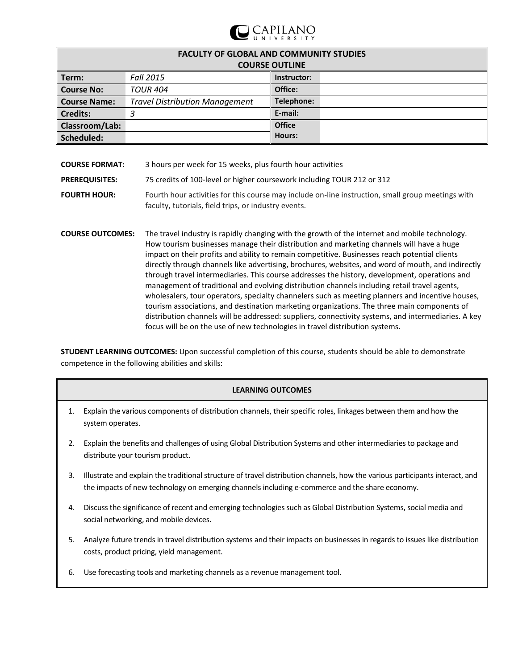

| <b>FACULTY OF GLOBAL AND COMMUNITY STUDIES</b><br><b>COURSE OUTLINE</b> |                                       |               |  |  |
|-------------------------------------------------------------------------|---------------------------------------|---------------|--|--|
| Term:                                                                   | <b>Fall 2015</b>                      | Instructor:   |  |  |
| <b>Course No:</b>                                                       | <b>TOUR 404</b>                       | Office:       |  |  |
| <b>Course Name:</b>                                                     | <b>Travel Distribution Management</b> | Telephone:    |  |  |
| <b>Credits:</b>                                                         | 3                                     | E-mail:       |  |  |
| Classroom/Lab:                                                          |                                       | <b>Office</b> |  |  |
| Scheduled:                                                              |                                       | Hours:        |  |  |

| <b>COURSE FORMAT:</b>   | 3 hours per week for 15 weeks, plus fourth hour activities                                                                                                                                                                                                                                  |
|-------------------------|---------------------------------------------------------------------------------------------------------------------------------------------------------------------------------------------------------------------------------------------------------------------------------------------|
| <b>PREREQUISITES:</b>   | 75 credits of 100-level or higher coursework including TOUR 212 or 312                                                                                                                                                                                                                      |
| <b>FOURTH HOUR:</b>     | Fourth hour activities for this course may include on-line instruction, small group meetings with<br>faculty, tutorials, field trips, or industry events.                                                                                                                                   |
| <b>COURSE OUTCOMES:</b> | The travel industry is rapidly changing with the growth of the internet and mobile technology.<br>How tourism businesses manage their distribution and marketing channels will have a huge<br>impact on their profits and ability to remain competitive. Businesses reach potential clients |

impact on their profits and ability to remain competitive. Businesses reach potential clients directly through channels like advertising, brochures, websites, and word of mouth, and indirectly through travel intermediaries. This course addresses the history, development, operations and management of traditional and evolving distribution channels including retail travel agents, wholesalers, tour operators, specialty channelers such as meeting planners and incentive houses, tourism associations, and destination marketing organizations. The three main components of distribution channels will be addressed: suppliers, connectivity systems, and intermediaries. A key focus will be on the use of new technologies in travel distribution systems.

**STUDENT LEARNING OUTCOMES:** Upon successful completion of this course, students should be able to demonstrate competence in the following abilities and skills:

### **LEARNING OUTCOMES**

- 1. Explain the various components of distribution channels, their specific roles, linkages between them and how the system operates.
- 2. Explain the benefits and challenges of using Global Distribution Systems and other intermediaries to package and distribute your tourism product.
- 3. Illustrate and explain the traditional structure of travel distribution channels, how the various participants interact, and the impacts of new technology on emerging channels including e-commerce and the share economy.
- 4. Discuss the significance of recent and emerging technologies such as Global Distribution Systems, social media and social networking, and mobile devices.
- 5. Analyze future trends in travel distribution systems and their impacts on businesses in regards to issues like distribution costs, product pricing, yield management.
- 6. Use forecasting tools and marketing channels as a revenue management tool.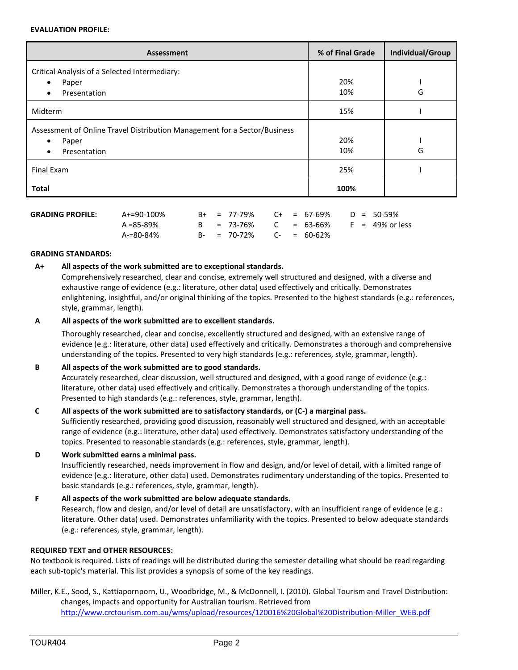#### **EVALUATION PROFILE:**

| <b>Assessment</b>                                                         | % of Final Grade | Individual/Group |  |
|---------------------------------------------------------------------------|------------------|------------------|--|
| Critical Analysis of a Selected Intermediary:                             |                  |                  |  |
| Paper<br>$\bullet$                                                        | 20%              |                  |  |
| Presentation<br>$\bullet$                                                 | 10%              | G                |  |
| Midterm                                                                   | 15%              |                  |  |
| Assessment of Online Travel Distribution Management for a Sector/Business |                  |                  |  |
| Paper<br>$\bullet$                                                        | 20%              |                  |  |
| Presentation<br>$\bullet$                                                 | 10%              | G                |  |
| Final Exam                                                                | 25%              |                  |  |
| <b>Total</b>                                                              | 100%             |                  |  |

| <b>GRADING PROFILE:</b> | A+=90-100% |  | $B+ = 77-79\%$ C+ = 67-69% D = 50-59%    |  |  |  |
|-------------------------|------------|--|------------------------------------------|--|--|--|
|                         | A =85-89%  |  | $B = 73-76\%$ C = 63-66% F = 49% or less |  |  |  |
|                         | A-=80-84%  |  | $B - = 70 - 72\%$ $C - = 60 - 62\%$      |  |  |  |

### **GRADING STANDARDS:**

### **A+ All aspects of the work submitted are to exceptional standards.**

Comprehensively researched, clear and concise, extremely well structured and designed, with a diverse and exhaustive range of evidence (e.g.: literature, other data) used effectively and critically. Demonstrates enlightening, insightful, and/or original thinking of the topics. Presented to the highest standards (e.g.: references, style, grammar, length).

### **A All aspects of the work submitted are to excellent standards.**

Thoroughly researched, clear and concise, excellently structured and designed, with an extensive range of evidence (e.g.: literature, other data) used effectively and critically. Demonstrates a thorough and comprehensive understanding of the topics. Presented to very high standards (e.g.: references, style, grammar, length).

# **B All aspects of the work submitted are to good standards.**

Accurately researched, clear discussion, well structured and designed, with a good range of evidence (e.g.: literature, other data) used effectively and critically. Demonstrates a thorough understanding of the topics. Presented to high standards (e.g.: references, style, grammar, length).

# **C All aspects of the work submitted are to satisfactory standards, or (C-) a marginal pass.**

Sufficiently researched, providing good discussion, reasonably well structured and designed, with an acceptable range of evidence (e.g.: literature, other data) used effectively. Demonstrates satisfactory understanding of the topics. Presented to reasonable standards (e.g.: references, style, grammar, length).

### **D Work submitted earns a minimal pass.**

Insufficiently researched, needs improvement in flow and design, and/or level of detail, with a limited range of evidence (e.g.: literature, other data) used. Demonstrates rudimentary understanding of the topics. Presented to basic standards (e.g.: references, style, grammar, length).

### **F All aspects of the work submitted are below adequate standards.**

Research, flow and design, and/or level of detail are unsatisfactory, with an insufficient range of evidence (e.g.: literature. Other data) used. Demonstrates unfamiliarity with the topics. Presented to below adequate standards (e.g.: references, style, grammar, length).

### **REQUIRED TEXT and OTHER RESOURCES:**

No textbook is required. Lists of readings will be distributed during the semester detailing what should be read regarding each sub-topic's material. This list provides a synopsis of some of the key readings.

### Miller, K.E., Sood, S., Kattiapornporn, U., Woodbridge, M., & McDonnell, I. (2010). Global Tourism and Travel Distribution: changes, impacts and opportunity for Australian tourism. Retrieved from [http://www.crctourism.com.au/wms/upload/resources/120016%20Global%20Distribution-Miller\\_WEB.pdf](http://www.crctourism.com.au/wms/upload/resources/120016%20Global%20Distribution-Miller_WEB.pdf)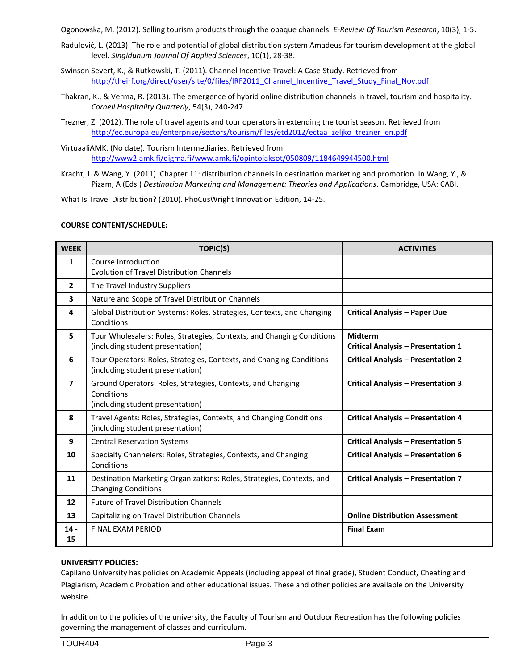Ogonowska, M. (2012). Selling tourism products through the opaque channels. *E-Review Of Tourism Research*, 10(3), 1-5.

- Radulović, L. (2013). The role and potential of global distribution system Amadeus for tourism development at the global level. *Singidunum Journal Of Applied Sciences*, 10(1), 28-38.
- Swinson Severt, K., & Rutkowski, T. (2011). Channel Incentive Travel: A Case Study. Retrieved from [http://theirf.org/direct/user/site/0/files/IRF2011\\_Channel\\_Incentive\\_Travel\\_Study\\_Final\\_Nov.pdf](http://theirf.org/direct/user/site/0/files/IRF2011_Channel_Incentive_Travel_Study_Final_Nov.pdf)
- Thakran, K., & Verma, R. (2013). The emergence of hybrid online distribution channels in travel, tourism and hospitality. *Cornell Hospitality Quarterly*, 54(3), 240-247.
- Trezner, Z. (2012). The role of travel agents and tour operators in extending the tourist season. Retrieved from [http://ec.europa.eu/enterprise/sectors/tourism/files/etd2012/ectaa\\_zeljko\\_trezner\\_en.pdf](http://ec.europa.eu/enterprise/sectors/tourism/files/etd2012/ectaa_zeljko_trezner_en.pdf)
- VirtuaaliAMK. (No date). Tourism Intermediaries. Retrieved from <http://www2.amk.fi/digma.fi/www.amk.fi/opintojaksot/050809/1184649944500.html>
- Kracht, J. & Wang, Y. (2011). Chapter 11: distribution channels in destination marketing and promotion. In Wang, Y., & Pizam, A (Eds.) *Destination Marketing and Management: Theories and Applications*. Cambridge, USA: CABI.

What Is Travel Distribution? (2010). PhoCusWright Innovation Edition, 14-25.

### **COURSE CONTENT/SCHEDULE:**

| <b>WEEK</b>    | <b>TOPIC(S)</b>                                                                                               | <b>ACTIVITIES</b>                                           |
|----------------|---------------------------------------------------------------------------------------------------------------|-------------------------------------------------------------|
| 1              | Course Introduction<br><b>Evolution of Travel Distribution Channels</b>                                       |                                                             |
| $\overline{2}$ | The Travel Industry Suppliers                                                                                 |                                                             |
| 3              | Nature and Scope of Travel Distribution Channels                                                              |                                                             |
| 4              | Global Distribution Systems: Roles, Strategies, Contexts, and Changing<br>Conditions                          | <b>Critical Analysis - Paper Due</b>                        |
| 5              | Tour Wholesalers: Roles, Strategies, Contexts, and Changing Conditions<br>(including student presentation)    | <b>Midterm</b><br><b>Critical Analysis - Presentation 1</b> |
| 6              | Tour Operators: Roles, Strategies, Contexts, and Changing Conditions<br>(including student presentation)      | <b>Critical Analysis - Presentation 2</b>                   |
| $\overline{7}$ | Ground Operators: Roles, Strategies, Contexts, and Changing<br>Conditions<br>(including student presentation) | <b>Critical Analysis - Presentation 3</b>                   |
| 8              | Travel Agents: Roles, Strategies, Contexts, and Changing Conditions<br>(including student presentation)       | <b>Critical Analysis - Presentation 4</b>                   |
| 9              | <b>Central Reservation Systems</b>                                                                            | <b>Critical Analysis - Presentation 5</b>                   |
| 10             | Specialty Channelers: Roles, Strategies, Contexts, and Changing<br>Conditions                                 | <b>Critical Analysis - Presentation 6</b>                   |
| 11             | Destination Marketing Organizations: Roles, Strategies, Contexts, and<br><b>Changing Conditions</b>           | <b>Critical Analysis - Presentation 7</b>                   |
| 12             | <b>Future of Travel Distribution Channels</b>                                                                 |                                                             |
| 13             | Capitalizing on Travel Distribution Channels                                                                  | <b>Online Distribution Assessment</b>                       |
| $14 -$<br>15   | <b>FINAL FXAM PERIOD</b>                                                                                      | <b>Final Exam</b>                                           |

### **UNIVERSITY POLICIES:**

Capilano University has policies on Academic Appeals (including appeal of final grade), Student Conduct, Cheating and Plagiarism, Academic Probation and other educational issues. These and other policies are available on the University website.

In addition to the policies of the university, the Faculty of Tourism and Outdoor Recreation has the following policies governing the management of classes and curriculum.